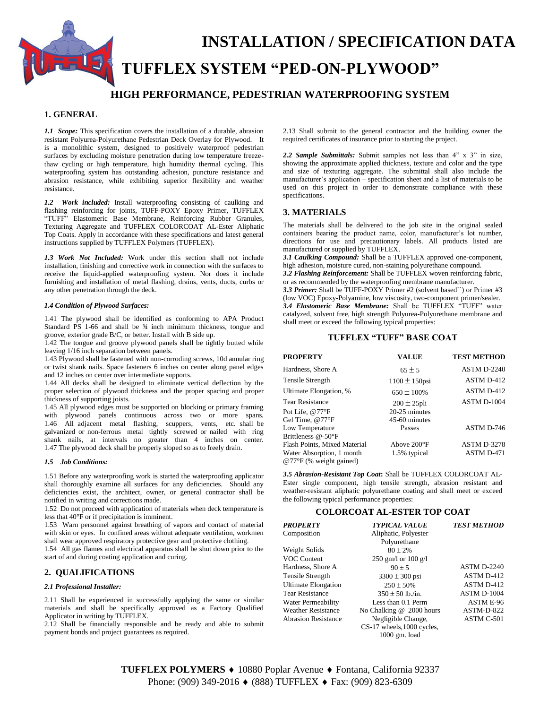# **INSTALLATION / SPECIFICATION DATA TUFFLEX SYSTEM "PED-ON-PLYWOOD"**

# **HIGH PERFORMANCE, PEDESTRIAN WATERPROOFING SYSTEM**

# **1. GENERAL**

*1.1 Scope:* This specification covers the installation of a durable, abrasion resistant Polyurea-Polyurethane Pedestrian Deck Overlay for Plywood. It is a monolithic system, designed to positively waterproof pedestrian surfaces by excluding moisture penetration during low temperature freezethaw cycling or high temperature, high humidity thermal cycling. This waterproofing system has outstanding adhesion, puncture resistance and abrasion resistance, while exhibiting superior flexibility and weather resistance.

*1.2 Work included:* Install waterproofing consisting of caulking and flashing reinforcing for joints, TUFF-POXY Epoxy Primer, TUFFLEX "TUFF" Elastomeric Base Membrane, Reinforcing Rubber Granules, Texturing Aggregate and TUFFLEX COLORCOAT AL-Ester Aliphatic Top Coats. Apply in accordance with these specifications and latest general instructions supplied by TUFFLEX Polymers (TUFFLEX).

*1.3 Work Not Included:* Work under this section shall not include installation, finishing and corrective work in connection with the surfaces to receive the liquid-applied waterproofing system. Nor does it include furnishing and installation of metal flashing, drains, vents, ducts, curbs or any other penetration through the deck.

#### *1.4 Condition of Plywood Surfaces:*

1.41 The plywood shall be identified as conforming to APA Product Standard PS 1-66 and shall be  $\frac{3}{4}$  inch minimum thickness, tongue and groove, exterior grade B/C, or better. Install with B side up.

1.42 The tongue and groove plywood panels shall be tightly butted while leaving 1/16 inch separation between panels.

1.43 Plywood shall be fastened with non-corroding screws, 10d annular ring or twist shank nails. Space fasteners 6 inches on center along panel edges and 12 inches on center over intermediate supports.

1.44 All decks shall be designed to eliminate vertical deflection by the proper selection of plywood thickness and the proper spacing and proper thickness of supporting joists.

1.45 All plywood edges must be supported on blocking or primary framing with plywood panels continuous across two or more spans. 1.46 All adjacent metal flashing, scuppers, vents, etc. shall be galvanized or non-ferrous metal tightly screwed or nailed with ring shank nails, at intervals no greater than 4 inches on center. 1.47 The plywood deck shall be properly sloped so as to freely drain.

#### *1.5 Job Conditions:*

1.51 Before any waterproofing work is started the waterproofing applicator shall thoroughly examine all surfaces for any deficiencies. Should any deficiencies exist, the architect, owner, or general contractor shall be notified in writing and corrections made.

1.52 Do not proceed with application of materials when deck temperature is less that 40°F or if precipitation is imminent.

1.53 Warn personnel against breathing of vapors and contact of material with skin or eyes. In confined areas without adequate ventilation, workmen shall wear approved respiratory protective gear and protective clothing.

1.54 All gas flames and electrical apparatus shall be shut down prior to the start of and during coating application and curing.

#### **2. QUALIFICATIONS**

#### *2.1 Professional Installer:*

2.11 Shall be experienced in successfully applying the same or similar materials and shall be specifically approved as a Factory Qualified Applicator in writing by TUFFLEX.

2.12 Shall be financially responsible and be ready and able to submit payment bonds and project guarantees as required.

2.13 Shall submit to the general contractor and the building owner the required certificates of insurance prior to starting the project.

*2.2 Sample Submittals:* Submit samples not less than 4" x 3" in size, showing the approximate applied thickness, texture and color and the type and size of texturing aggregate. The submittal shall also include the manufacturer's application – specification sheet and a list of materials to be used on this project in order to demonstrate compliance with these specifications.

### **3. MATERIALS**

The materials shall be delivered to the job site in the original sealed containers bearing the product name, color, manufacturer's lot number, directions for use and precautionary labels. All products listed are manufactured or supplied by TUFFLEX.

*3.1 Caulking Compound:* Shall be a TUFFLEX approved one-component, high adhesion, moisture cured, non-staining polyurethane compound.

*3.2 Flashing Reinforcement:* Shall be TUFFLEX woven reinforcing fabric, or as recommended by the waterproofing membrane manufacturer.

*3.3 Primer:* Shall be TUFF-POXY Primer #2 (solvent based``) or Primer #3 (low VOC) Epoxy-Polyamine, low viscosity, two-component primer/sealer. 3.4 Elastomeric Base Membrane: Shall be TUFFLEX "TUFF" water catalyzed, solvent free, high strength Polyurea-Polyurethane membrane and shall meet or exceed the following typical properties:

#### **TUFFLEX "TUFF" BASE COAT**

| <b>PROPERTY</b>                  | <b>VALUE</b>       | <b>TEST METHOD</b> |
|----------------------------------|--------------------|--------------------|
| Hardness, Shore A                | $65 \pm 5$         | <b>ASTM D-2240</b> |
| <b>Tensile Strength</b>          | $1100 \pm 150$ psi | ASTM D-412         |
| Ultimate Elongation, %           | $650 \pm 100\%$    | ASTM D-412         |
| <b>Tear Resistance</b>           | $200 \pm 25$ pli   | ASTM D-1004        |
| Pot Life, @77°F                  | 20-25 minutes      |                    |
| Gel Time, @77°F                  | 45-60 minutes      |                    |
| Low Temperature                  | Passes             | ASTM D-746         |
| Brittleness @-50°F               |                    |                    |
| Flash Points, Mixed Material     | Above 200°F        | <b>ASTM D-3278</b> |
| Water Absorption, 1 month        | 1.5% typical       | ASTM D-471         |
| $@77^{\circ}F$ (% weight gained) |                    |                    |

*3.5 Abrasion-Resistant Top Coat***:** Shall be TUFFLEX COLORCOAT AL-Ester single component, high tensile strength, abrasion resistant and weather-resistant aliphatic polyurethane coating and shall meet or exceed the following typical performance properties:

### **COLORCOAT AL-ESTER TOP COAT**

| PROPERTY                   | <b>TYPICAL VALUE</b>       | <b>TEST METHOD</b> |
|----------------------------|----------------------------|--------------------|
| Composition                | Aliphatic, Polyester       |                    |
|                            | Polyurethane               |                    |
| Weight Solids              | $80 \pm 2\%$               |                    |
| <b>VOC Content</b>         | 250 gm/l or 100 g/l        |                    |
| Hardness, Shore A          | $90 + 5$                   | ASTM D-2240        |
| Tensile Strength           | $3300 \pm 300$ psi         | ASTM D-412         |
| Ultimate Elongation        | $250 \pm 50\%$             | ASTM D-412         |
| <b>Tear Resistance</b>     | $350 \pm 50$ lb./in.       | ASTM D-1004        |
| Water Permeability         | Less than 0.1 Perm         | ASTM E-96          |
| <b>Weather Resistance</b>  | No Chalking @ 2000 hours   | ASTM-D-822         |
| <b>Abrasion Resistance</b> | Negligible Change,         | ASTM C-501         |
|                            | CS-17 wheels, 1000 cycles, |                    |
|                            | $1000$ gm. load            |                    |

TUFFLEX POLYMERS ♦ 10880 Poplar Avenue ♦ Fontana, California 92337 Phone: (909) 349-2016 ♦ (888) TUFFLEX ♦ Fax: (909) 823-6309